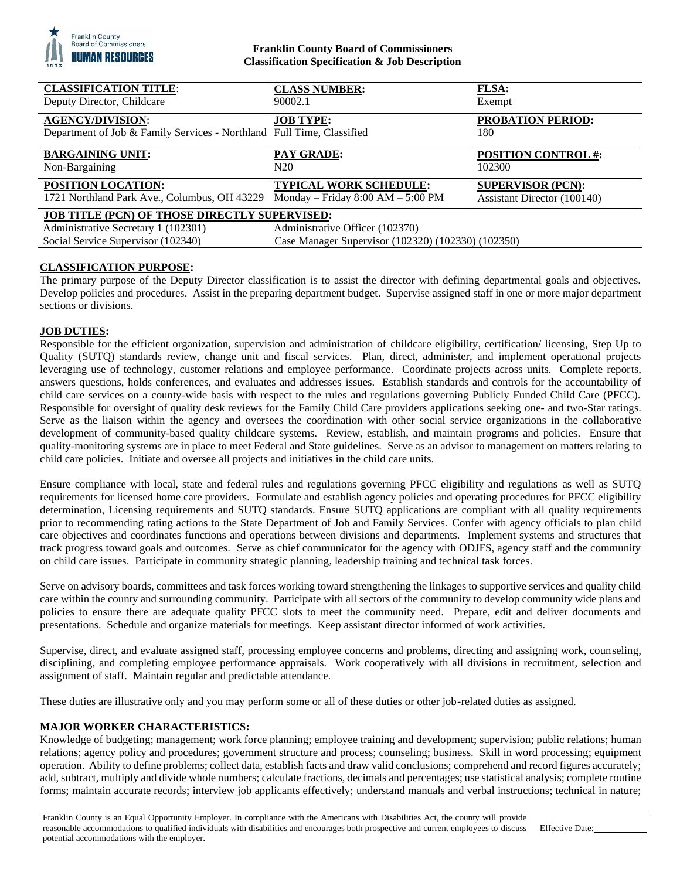

## **Franklin County Board of Commissioners Classification Specification & Job Description**

| <b>CLASSIFICATION TITLE:</b><br>Deputy Director, Childcare                                       | <b>CLASS NUMBER:</b><br>90002.1                                        | <b>FLSA:</b><br>Exempt                                  |
|--------------------------------------------------------------------------------------------------|------------------------------------------------------------------------|---------------------------------------------------------|
| <b>AGENCY/DIVISION:</b><br>Department of Job & Family Services - Northland Full Time, Classified | <b>JOB TYPE:</b>                                                       | PROBATION PERIOD:<br>180                                |
|                                                                                                  |                                                                        |                                                         |
| <b>BARGAINING UNIT:</b><br>Non-Bargaining                                                        | PAY GRADE:<br>N20                                                      | <b>POSITION CONTROL #:</b><br>102300                    |
| <b>POSITION LOCATION:</b><br>1721 Northland Park Ave., Columbus, OH 43229                        | <b>TYPICAL WORK SCHEDULE:</b><br>Monday – Friday $8:00$ AM – $5:00$ PM | <b>SUPERVISOR (PCN):</b><br>Assistant Director (100140) |
| <b>JOB TITLE (PCN) OF THOSE DIRECTLY SUPERVISED:</b>                                             |                                                                        |                                                         |
| Administrative Secretary 1 (102301)                                                              | Administrative Officer (102370)                                        |                                                         |
| Social Service Supervisor (102340)                                                               | Case Manager Supervisor (102320) (102330) (102350)                     |                                                         |

# **CLASSIFICATION PURPOSE:**

The primary purpose of the Deputy Director classification is to assist the director with defining departmental goals and objectives. Develop policies and procedures. Assist in the preparing department budget. Supervise assigned staff in one or more major department sections or divisions.

# **JOB DUTIES:**

Responsible for the efficient organization, supervision and administration of childcare eligibility, certification/ licensing, Step Up to Quality (SUTQ) standards review, change unit and fiscal services. Plan, direct, administer, and implement operational projects leveraging use of technology, customer relations and employee performance. Coordinate projects across units. Complete reports, answers questions, holds conferences, and evaluates and addresses issues. Establish standards and controls for the accountability of child care services on a county-wide basis with respect to the rules and regulations governing Publicly Funded Child Care (PFCC). Responsible for oversight of quality desk reviews for the Family Child Care providers applications seeking one- and two-Star ratings. Serve as the liaison within the agency and oversees the coordination with other social service organizations in the collaborative development of community-based quality childcare systems. Review, establish, and maintain programs and policies. Ensure that quality-monitoring systems are in place to meet Federal and State guidelines. Serve as an advisor to management on matters relating to child care policies. Initiate and oversee all projects and initiatives in the child care units.

Ensure compliance with local, state and federal rules and regulations governing PFCC eligibility and regulations as well as SUTQ requirements for licensed home care providers. Formulate and establish agency policies and operating procedures for PFCC eligibility determination, Licensing requirements and SUTQ standards. Ensure SUTQ applications are compliant with all quality requirements prior to recommending rating actions to the State Department of Job and Family Services. Confer with agency officials to plan child care objectives and coordinates functions and operations between divisions and departments. Implement systems and structures that track progress toward goals and outcomes. Serve as chief communicator for the agency with ODJFS, agency staff and the community on child care issues. Participate in community strategic planning, leadership training and technical task forces.

Serve on advisory boards, committees and task forces working toward strengthening the linkages to supportive services and quality child care within the county and surrounding community. Participate with all sectors of the community to develop community wide plans and policies to ensure there are adequate quality PFCC slots to meet the community need. Prepare, edit and deliver documents and presentations. Schedule and organize materials for meetings. Keep assistant director informed of work activities.

Supervise, direct, and evaluate assigned staff, processing employee concerns and problems, directing and assigning work, counseling, disciplining, and completing employee performance appraisals. Work cooperatively with all divisions in recruitment, selection and assignment of staff. Maintain regular and predictable attendance.

These duties are illustrative only and you may perform some or all of these duties or other job-related duties as assigned.

### **MAJOR WORKER CHARACTERISTICS:**

Knowledge of budgeting; management; work force planning; employee training and development; supervision; public relations; human relations; agency policy and procedures; government structure and process; counseling; business. Skill in word processing; equipment operation. Ability to define problems; collect data, establish facts and draw valid conclusions; comprehend and record figures accurately; add, subtract, multiply and divide whole numbers; calculate fractions, decimals and percentages; use statistical analysis; complete routine forms; maintain accurate records; interview job applicants effectively; understand manuals and verbal instructions; technical in nature;

Effective Date: